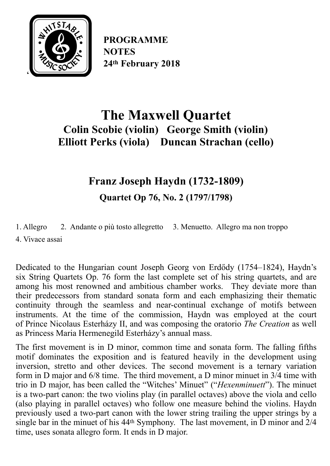

**PROGRAMME NOTES 24th February 2018**

# **The Maxwell Quartet Colin Scobie (violin) George Smith (violin) Elliott Perks (viola) Duncan Strachan (cello)**

## **Franz Joseph Haydn (1732-1809)**

**Quartet Op 76, No. 2 (1797/1798)** 

[1. Allegro](https://en.wikipedia.org/wiki/Tempo#Italian_tempo_markings) 2. [Andante](https://en.wikipedia.org/wiki/Tempo#Italian_tempo_markings) o più tosto [allegretto](https://en.wikipedia.org/wiki/Tempo#Italian_tempo_markings) 3. [Menuetto](https://en.wikipedia.org/wiki/Minuet). Allegro ma non troppo

4. [Vivace](https://en.wikipedia.org/wiki/Tempo#Italian_tempo_markings) assai

Dedicated to the Hungarian [count](https://en.wikipedia.org/wiki/Count) Joseph Georg von [Erd](https://en.wikipedia.org/wiki/Erd%25C5%2591dy)ődy (1754–1824), Haydn's six [String Quartets](https://en.wikipedia.org/wiki/String_Quartet) [Op.](https://en.wikipedia.org/wiki/Opus_number) 76 form the last complete set of his string quartets, and are among his most renowned and ambitious [chamber works](https://en.wikipedia.org/wiki/Chamber_music). They deviate more than their predecessors from standard [sonata form](https://en.wikipedia.org/wiki/Sonata_form) and each emphasizing their thematic continuity through the seamless and near-continual exchange of [motifs](https://en.wikipedia.org/wiki/Motif_(music)) between instruments. At the time of the commission, Haydn was employed at the court of [Prince Nicolaus Esterházy II,](https://en.wikipedia.org/wiki/Nikolaus_II,_Prince_Esterh%25C3%25A1zy) and was composing the oratorio *[The Creation](https://en.wikipedia.org/wiki/The_Creation_(Haydn))* as well as Princess Maria Hermenegild Esterházy's annual [mass](https://en.wikipedia.org/wiki/Mass_(music)).

The first movement is in D minor, [common time](https://en.wikipedia.org/wiki/Time_signature) and [sonata form.](https://en.wikipedia.org/wiki/Sonata_form) The falling fifths motif dominates the exposition and is featured heavily in the development using inversion, stretto and other devices. The second movement is a [ternary](https://en.wikipedia.org/wiki/Ternary_form) [variation](https://en.wikipedia.org/wiki/Variation_(music)) [form](https://en.wikipedia.org/wiki/Variation_(music)) in [D major](https://en.wikipedia.org/wiki/D_major) and [6/8 time.](https://en.wikipedia.org/wiki/Time_signature) The third movement, a D minor minuet in [3/4 time](https://en.wikipedia.org/wiki/Time_signature) with trio in D major, has been called the "Witches' Minuet" ("*Hexenminuett*"). The minuet is a two-part canon: the two violins play (in parallel octaves) above the viola and cello (also playing in parallel octaves) who follow one measure behind the violins. Haydn previously used a two-part canon with the lower string trailing the upper strings by a single bar in the minuet of his [44th Symphony.](https://en.wikipedia.org/wiki/Symphony_No._44_(Haydn)) The last movement, in D minor and [2/4](https://en.wikipedia.org/wiki/Time_signature) [time](https://en.wikipedia.org/wiki/Time_signature), uses [sonata allegro form](https://en.wikipedia.org/wiki/Sonata_allegro_form). It ends in D major.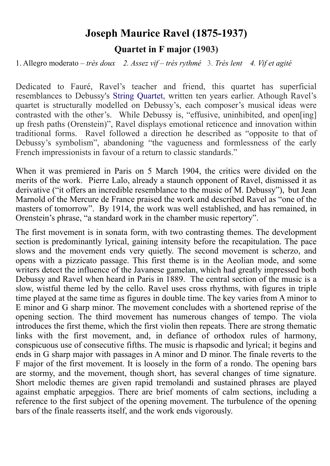### **Joseph Maurice Ravel (1875-1937) Quartet in F major (1903)**

1. Allegro moderato – *très doux 2. Assez vif* – *très rythmé* 3. *Très lent 4. Vif et agité*

Dedicated to Fauré, Ravel's teacher and friend, this quartet has superficial resemblances to Debussy's [String Quartet](https://en.wikipedia.org/wiki/String_Quartet_(Debussy)), written ten years earlier. Athough Ravel's quartet is structurally modelled on Debussy's, each composer's musical ideas were contrasted with the other's. While Debussy is, "effusive, uninhibited, and open[ing] up fresh paths (Orenstein)", Ravel displays emotional reticence and innovation within traditional forms. Ravel followed a direction he described as "opposite to that of Debussy's symbolism", abandoning "the vagueness and formlessness of the early French impressionists in favour of a return to classic standards."

When it was premiered in Paris on 5 March 1904, the critics were divided on the merits of the work. [Pierre Lalo,](https://en.wikipedia.org/wiki/Pierre_Lalo) already a staunch opponent of Ravel, dismissed it as derivative ("it offers an incredible resemblance to the music of M. Debussy"), but Jean Marnold of the [Mercure de France](https://en.wikipedia.org/wiki/Mercure_de_France) praised the work and described Ravel as "one of the masters of tomorrow". By 1914, the work was well established, and has remained, in Orenstein's phrase, "a standard work in the chamber music repertory".

The first movement is in [sonata form,](https://en.wikipedia.org/wiki/Sonata_form) with two contrasting [themes](https://en.wikipedia.org/wiki/Theme_(music)). The development section is predominantly lyrical, gaining intensity before the [recapitulation.](https://en.wikipedia.org/wiki/Recapitulation_(music)) The pace slows and the movement ends very quietly. The second movement is scherzo, and opens with a [pizzicato](https://en.wikipedia.org/wiki/Pizzicato) passage. This first theme is in the [Aeolian mode](https://en.wikipedia.org/wiki/Aeolian_mode), and some writers detect the influence of the Javanese [gamelan,](https://en.wikipedia.org/wiki/Gamelan) which had greatly impressed both Debussy and Ravel when heard in Paris in 1889. The central section of the music is a slow, wistful theme led by the cello. Ravel uses [cross rhythms](https://en.wikipedia.org/wiki/Cross-rhythm), with figures in [triple](https://en.wikipedia.org/wiki/Triple_time) [time](https://en.wikipedia.org/wiki/Triple_time) played at the same time as figures in double time. The key varies from A minor to E minor and G sharp minor. The movement concludes with a shortened reprise of the opening section. The third movement has numerous changes of [tempo.](https://en.wikipedia.org/wiki/Tempo) The viola introduces the first theme, which the first violin then repeats. There are strong thematic links with the first movement, and, in defiance of orthodox rules of harmony, conspicuous use of [consecutive fifths.](https://en.wikipedia.org/wiki/Consecutive_fifths) The music is rhapsodic and lyrical; it begins and ends in G sharp major with passages in A minor and D minor. The finale reverts to the F major of the first movement. It is loosely in the form of a [rondo](https://en.wikipedia.org/wiki/Rondo). The opening bars are stormy, and the movement, though short, has several changes of time signature. Short melodic themes are given rapid [tremolandi](https://en.wikipedia.org/wiki/Tremolando) and sustained phrases are played against emphatic [arpeggios.](https://en.wikipedia.org/wiki/Arpeggio) There are brief moments of calm sections, including a reference to the first subject of the opening movement. The turbulence of the opening bars of the finale reasserts itself, and the work ends vigorously.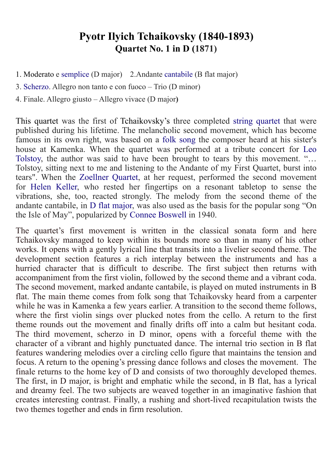### **Pyotr Ilyich Tchaikovsky (1840-1893) Quartet No. 1 in D (1871)**

- 1. Moderato e [semplice](https://en.wikipedia.org/wiki/Glossary_of_musical_terminology#S) (D major) 2.Andante [cantabile](https://en.wikipedia.org/wiki/Cantabile) (B flat major)
- 3. [Scherzo](https://en.wikipedia.org/wiki/Scherzo). Allegro non tanto e con fuoco Trio (D minor)
- 4. Finale. Allegro giusto Allegro vivace (D major**)**

This quartet was the first of Tchaikovsky's three completed [string quartet](https://en.wikipedia.org/wiki/String_quartet) that were published during his lifetime. The melancholic second movement, which has become famous in its own right, was based on a [folk song](https://en.wikipedia.org/wiki/Folk_song) the composer heard at his sister's house at Kamenka. When the quartet was performed at a tribute concert for [Leo](https://en.wikipedia.org/wiki/Leo_Tolstoy) [Tolstoy](https://en.wikipedia.org/wiki/Leo_Tolstoy), the author was said to have been brought to tears by this movement. "… Tolstoy, sitting next to me and listening to the Andante of my First Quartet, burst into tears". When the [Zoellner Quartet](https://en.wikipedia.org/wiki/Zoellner_Quartet), at her request, performed the second movement for [Helen Keller](https://en.wikipedia.org/wiki/Helen_Keller), who rested her fingertips on a resonant tabletop to sense the vibrations, she, too, reacted strongly. The melody from the second theme of the andante cantabile, in [D flat major,](https://en.wikipedia.org/wiki/D-flat_major) was also used as the basis for the popular song "On the Isle of May", popularized by [Connee Boswell](https://en.wikipedia.org/wiki/Connee_Boswell) in 1940.

The quartet's first movement is written in the classical sonata form and here Tchaikovsky managed to keep within its bounds more so than in many of his other works. It opens with a gently lyrical line that transits into a livelier second theme. The development section features a rich interplay between the instruments and has a hurried character that is difficult to describe. The first subject then returns with accompaniment from the first violin, followed by the second theme and a vibrant coda. The second movement, marked andante cantabile, is played on muted instruments in B flat. The main theme comes from folk song that Tchaikovsky heard from a carpenter while he was in Kamenka a few years earlier. A transition to the second theme follows, where the first violin sings over plucked notes from the cello. A return to the first theme rounds out the movement and finally drifts off into a calm but hesitant coda. The third movement, scherzo in D minor, opens with a forceful theme with the character of a vibrant and highly punctuated dance. The internal trio section in B flat features wandering melodies over a circling cello figure that maintains the tension and focus. A return to the opening's pressing dance follows and closes the movement. The finale returns to the home key of D and consists of two thoroughly developed themes. The first, in D major, is bright and emphatic while the second, in B flat, has a lyrical and dreamy feel. The two subjects are weaved together in an imaginative fashion that creates interesting contrast. Finally, a rushing and short-lived recapitulation twists the two themes together and ends in firm resolution.